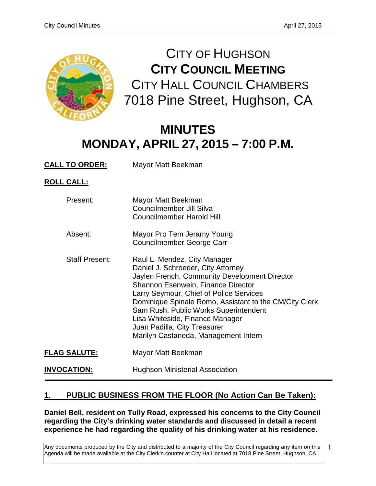1



CITY OF HUGHSON **CITY COUNCIL MEETING** CITY HALL COUNCIL CHAMBERS 7018 Pine Street, Hughson, CA

# **MINUTES MONDAY, APRIL 27, 2015 – 7:00 P.M.**

**CALL TO ORDER:** Mayor Matt Beekman

**ROLL CALL:**

| Present:              | Mayor Matt Beekman<br>Councilmember Jill Silva<br><b>Councilmember Harold Hill</b>                                                                                                                                                                                                                                                                                                                                        |
|-----------------------|---------------------------------------------------------------------------------------------------------------------------------------------------------------------------------------------------------------------------------------------------------------------------------------------------------------------------------------------------------------------------------------------------------------------------|
| Absent:               | Mayor Pro Tem Jeramy Young<br>Councilmember George Carr                                                                                                                                                                                                                                                                                                                                                                   |
| <b>Staff Present:</b> | Raul L. Mendez, City Manager<br>Daniel J. Schroeder, City Attorney<br>Jaylen French, Community Development Director<br><b>Shannon Esenwein, Finance Director</b><br>Larry Seymour, Chief of Police Services<br>Dominique Spinale Romo, Assistant to the CM/City Clerk<br>Sam Rush, Public Works Superintendent<br>Lisa Whiteside, Finance Manager<br>Juan Padilla, City Treasurer<br>Marilyn Castaneda, Management Intern |
| <b>FLAG SALUTE:</b>   | Mayor Matt Beekman                                                                                                                                                                                                                                                                                                                                                                                                        |
| <b>INVOCATION:</b>    | <b>Hughson Ministerial Association</b>                                                                                                                                                                                                                                                                                                                                                                                    |

# **1. PUBLIC BUSINESS FROM THE FLOOR (No Action Can Be Taken):**

**Daniel Bell, resident on Tully Road, expressed his concerns to the City Council regarding the City's drinking water standards and discussed in detail a recent experience he had regarding the quality of his drinking water at his residence.**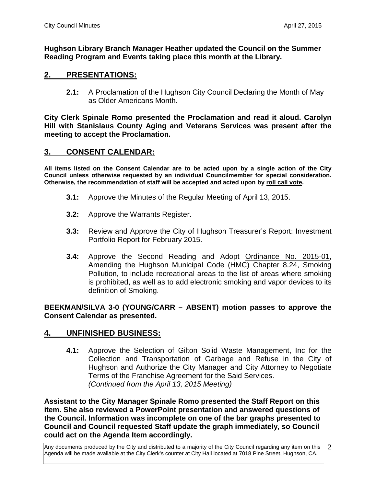**Hughson Library Branch Manager Heather updated the Council on the Summer Reading Program and Events taking place this month at the Library.** 

# **2. PRESENTATIONS:**

**2.1:** A Proclamation of the Hughson City Council Declaring the Month of May as Older Americans Month.

**City Clerk Spinale Romo presented the Proclamation and read it aloud. Carolyn Hill with Stanislaus County Aging and Veterans Services was present after the meeting to accept the Proclamation.** 

## **3. CONSENT CALENDAR:**

**All items listed on the Consent Calendar are to be acted upon by a single action of the City Council unless otherwise requested by an individual Councilmember for special consideration. Otherwise, the recommendation of staff will be accepted and acted upon by roll call vote.**

- **3.1:** Approve the Minutes of the Regular Meeting of April 13, 2015.
- **3.2:** Approve the Warrants Register.
- **3.3:** Review and Approve the City of Hughson Treasurer's Report: Investment Portfolio Report for February 2015.
- **3.4:** Approve the Second Reading and Adopt Ordinance No. 2015-01, Amending the Hughson Municipal Code (HMC) Chapter 8.24, Smoking Pollution, to include recreational areas to the list of areas where smoking is prohibited, as well as to add electronic smoking and vapor devices to its definition of Smoking.

**BEEKMAN/SILVA 3-0 (YOUNG/CARR – ABSENT) motion passes to approve the Consent Calendar as presented.** 

# **4. UNFINISHED BUSINESS:**

**4.1:** Approve the Selection of Gilton Solid Waste Management, Inc for the Collection and Transportation of Garbage and Refuse in the City of Hughson and Authorize the City Manager and City Attorney to Negotiate Terms of the Franchise Agreement for the Said Services. *(Continued from the April 13, 2015 Meeting)*

**Assistant to the City Manager Spinale Romo presented the Staff Report on this item. She also reviewed a PowerPoint presentation and answered questions of the Council. Information was incomplete on one of the bar graphs presented to Council and Council requested Staff update the graph immediately, so Council could act on the Agenda Item accordingly.**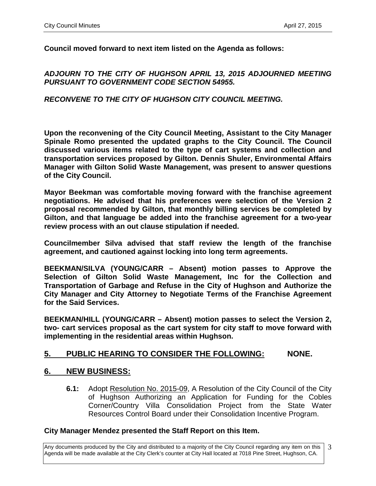**Council moved forward to next item listed on the Agenda as follows:** 

### *ADJOURN TO THE CITY OF HUGHSON APRIL 13, 2015 ADJOURNED MEETING PURSUANT TO GOVERNMENT CODE SECTION 54955.*

### *RECONVENE TO THE CITY OF HUGHSON CITY COUNCIL MEETING.*

**Upon the reconvening of the City Council Meeting, Assistant to the City Manager Spinale Romo presented the updated graphs to the City Council. The Council discussed various items related to the type of cart systems and collection and transportation services proposed by Gilton. Dennis Shuler, Environmental Affairs Manager with Gilton Solid Waste Management, was present to answer questions of the City Council.** 

**Mayor Beekman was comfortable moving forward with the franchise agreement negotiations. He advised that his preferences were selection of the Version 2 proposal recommended by Gilton, that monthly billing services be completed by Gilton, and that language be added into the franchise agreement for a two-year review process with an out clause stipulation if needed.** 

**Councilmember Silva advised that staff review the length of the franchise agreement, and cautioned against locking into long term agreements.** 

**BEEKMAN/SILVA (YOUNG/CARR – Absent) motion passes to Approve the Selection of Gilton Solid Waste Management, Inc for the Collection and Transportation of Garbage and Refuse in the City of Hughson and Authorize the City Manager and City Attorney to Negotiate Terms of the Franchise Agreement for the Said Services.** 

**BEEKMAN/HILL (YOUNG/CARR – Absent) motion passes to select the Version 2, two- cart services proposal as the cart system for city staff to move forward with implementing in the residential areas within Hughson.** 

# **5. PUBLIC HEARING TO CONSIDER THE FOLLOWING: NONE.**

#### **6. NEW BUSINESS:**

**6.1:** Adopt Resolution No. 2015-09, A Resolution of the City Council of the City of Hughson Authorizing an Application for Funding for the Cobles Corner/Country Villa Consolidation Project from the State Water Resources Control Board under their Consolidation Incentive Program.

#### **City Manager Mendez presented the Staff Report on this Item.**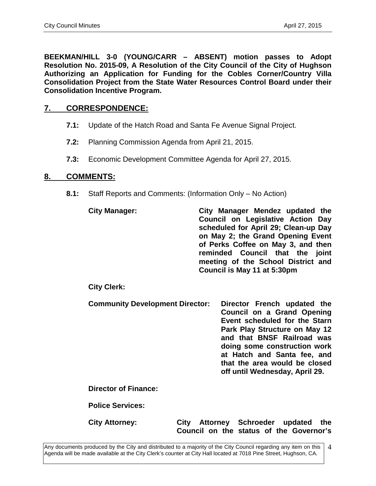**BEEKMAN/HILL 3-0 (YOUNG/CARR – ABSENT) motion passes to Adopt Resolution No. 2015-09, A Resolution of the City Council of the City of Hughson Authorizing an Application for Funding for the Cobles Corner/Country Villa Consolidation Project from the State Water Resources Control Board under their Consolidation Incentive Program.**

# **7. CORRESPONDENCE:**

- **7.1:** Update of the Hatch Road and Santa Fe Avenue Signal Project.
- **7.2:** Planning Commission Agenda from April 21, 2015.
- **7.3:** Economic Development Committee Agenda for April 27, 2015.

#### **8. COMMENTS:**

**8.1:** Staff Reports and Comments: (Information Only – No Action)

**City Manager: City Manager Mendez updated the Council on Legislative Action Day scheduled for April 29; Clean-up Day on May 2; the Grand Opening Event of Perks Coffee on May 3, and then reminded Council that the joint meeting of the School District and Council is May 11 at 5:30pm** 

#### **City Clerk:**

**Community Development Director: Director French updated the Council on a Grand Opening Event scheduled for the Starn Park Play Structure on May 12 and that BNSF Railroad was doing some construction work at Hatch and Santa fee, and that the area would be closed off until Wednesday, April 29.**

**Director of Finance:**

**Police Services:**

**City Attorney: City Attorney Schroeder updated the Council on the status of the Governor's**